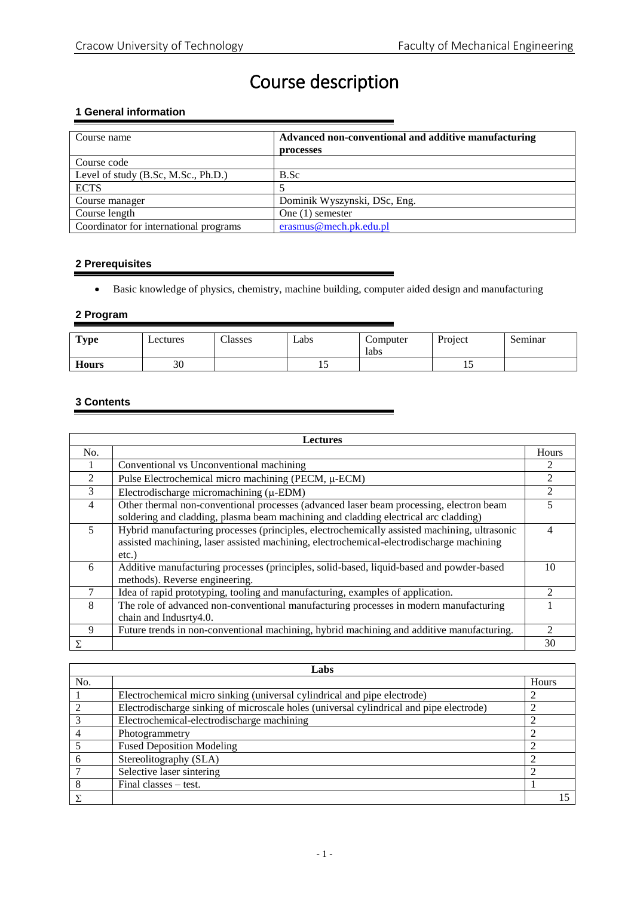# Course description

## **1 General information**

| Course name                            | Advanced non-conventional and additive manufacturing<br>processes |
|----------------------------------------|-------------------------------------------------------------------|
| Course code                            |                                                                   |
| Level of study (B.Sc, M.Sc., Ph.D.)    | B.Sc                                                              |
| <b>ECTS</b>                            |                                                                   |
| Course manager                         | Dominik Wyszynski, DSc, Eng.                                      |
| Course length                          | One $(1)$ semester                                                |
| Coordinator for international programs | erasmus@mech.pk.edu.pl                                            |

## **2 Prerequisites**

Basic knowledge of physics, chemistry, machine building, computer aided design and manufacturing

## **2 Program**

| <b>Type</b>  | Lectures | Classes | Labs | Computer<br>labs | Project | Seminar |
|--------------|----------|---------|------|------------------|---------|---------|
| <b>Hours</b> | 30       |         |      |                  | ⊥ັ      |         |

## **3 Contents**

| <b>Lectures</b> |                                                                                              |                |  |
|-----------------|----------------------------------------------------------------------------------------------|----------------|--|
| No.             |                                                                                              | Hours          |  |
|                 | Conventional vs Unconventional machining                                                     |                |  |
| $\overline{2}$  | Pulse Electrochemical micro machining (PECM, µ-ECM)                                          | $\mathfrak{D}$ |  |
| 3               | Electrodischarge micromachining $(\mu$ -EDM)                                                 | 2              |  |
| 4               | Other thermal non-conventional processes (advanced laser beam processing, electron beam      | 5              |  |
|                 | soldering and cladding, plasma beam machining and cladding electrical arc cladding)          |                |  |
| 5               | Hybrid manufacturing processes (principles, electrochemically assisted machining, ultrasonic | 4              |  |
|                 | assisted machining, laser assisted machining, electrochemical-electrodischarge machining     |                |  |
|                 | $etc.$ )                                                                                     |                |  |
| 6               | Additive manufacturing processes (principles, solid-based, liquid-based and powder-based     | 10             |  |
|                 | methods). Reverse engineering.                                                               |                |  |
| 7               | Idea of rapid prototyping, tooling and manufacturing, examples of application.               | $\mathcal{D}$  |  |
| 8               | The role of advanced non-conventional manufacturing processes in modern manufacturing        |                |  |
|                 | chain and Indusrty4.0.                                                                       |                |  |
| 9               | Future trends in non-conventional machining, hybrid machining and additive manufacturing.    |                |  |
| Σ               |                                                                                              | 30             |  |

| Labs |                                                                                         |       |
|------|-----------------------------------------------------------------------------------------|-------|
| No.  |                                                                                         | Hours |
|      | Electrochemical micro sinking (universal cylindrical and pipe electrode)                |       |
|      | Electrodischarge sinking of microscale holes (universal cylindrical and pipe electrode) |       |
|      | Electrochemical-electrodischarge machining                                              |       |
|      | Photogrammetry                                                                          |       |
|      | <b>Fused Deposition Modeling</b>                                                        |       |
|      | Stereolitography (SLA)                                                                  |       |
|      | Selective laser sintering                                                               |       |
|      | Final classes $-$ test.                                                                 |       |
|      |                                                                                         |       |